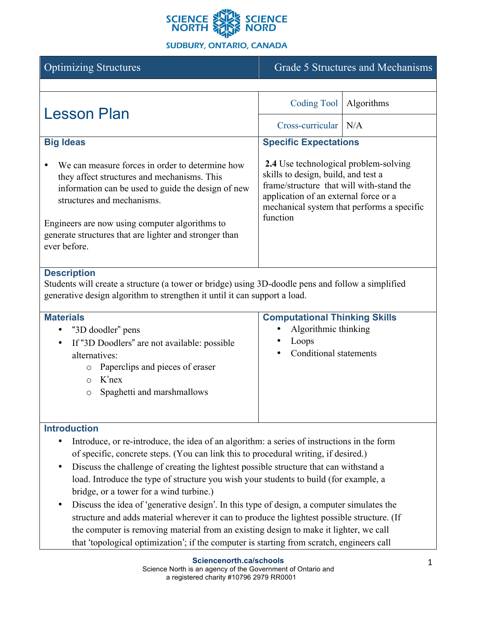

# **SUDBURY, ONTARIO, CANADA**

| <b>Optimizing Structures</b>                                                                                                                                                                                                                                                                                   | Grade 5 Structures and Mechanisms                                                                                                                                                                                                  |            |  |
|----------------------------------------------------------------------------------------------------------------------------------------------------------------------------------------------------------------------------------------------------------------------------------------------------------------|------------------------------------------------------------------------------------------------------------------------------------------------------------------------------------------------------------------------------------|------------|--|
|                                                                                                                                                                                                                                                                                                                |                                                                                                                                                                                                                                    |            |  |
| <b>Lesson Plan</b>                                                                                                                                                                                                                                                                                             | Coding Tool                                                                                                                                                                                                                        | Algorithms |  |
|                                                                                                                                                                                                                                                                                                                | Cross-curricular   N/A                                                                                                                                                                                                             |            |  |
| <b>Big Ideas</b>                                                                                                                                                                                                                                                                                               | <b>Specific Expectations</b>                                                                                                                                                                                                       |            |  |
| We can measure forces in order to determine how<br>they affect structures and mechanisms. This<br>information can be used to guide the design of new<br>structures and mechanisms.<br>Engineers are now using computer algorithms to<br>generate structures that are lighter and stronger than<br>ever before. | <b>2.4</b> Use technological problem-solving<br>skills to design, build, and test a<br>frame/structure that will with-stand the<br>application of an external force or a<br>mechanical system that performs a specific<br>function |            |  |
| <b>December 41</b>                                                                                                                                                                                                                                                                                             |                                                                                                                                                                                                                                    |            |  |

## **Description**

Students will create a structure (a tower or bridge) using 3D-doodle pens and follow a simplified generative design algorithm to strengthen it until it can support a load.

| <b>Materials</b>                                          | <b>Computational Thinking Skills</b> |
|-----------------------------------------------------------|--------------------------------------|
| "3D doodler" pens<br>$\bullet$                            | Algorithmic thinking<br>٠            |
| If "3D Doodlers" are not available: possible<br>$\bullet$ | Loops                                |
| alternatives:                                             | Conditional statements<br>$\bullet$  |
| Paperclips and pieces of eraser<br>$\circ$                |                                      |
| $K'$ nex<br>$\cap$                                        |                                      |
| Spaghetti and marshmallows<br>$\circ$                     |                                      |
|                                                           |                                      |
|                                                           |                                      |

# **Introduction**

- Introduce, or re-introduce, the idea of an algorithm: a series of instructions in the form of specific, concrete steps. (You can link this to procedural writing, if desired.)
- Discuss the challenge of creating the lightest possible structure that can withstand a load. Introduce the type of structure you wish your students to build (for example, a bridge, or a tower for a wind turbine.)
- Discuss the idea of 'generative design'. In this type of design, a computer simulates the structure and adds material wherever it can to produce the lightest possible structure. (If the computer is removing material from an existing design to make it lighter, we call that 'topological optimization'; if the computer is starting from scratch, engineers call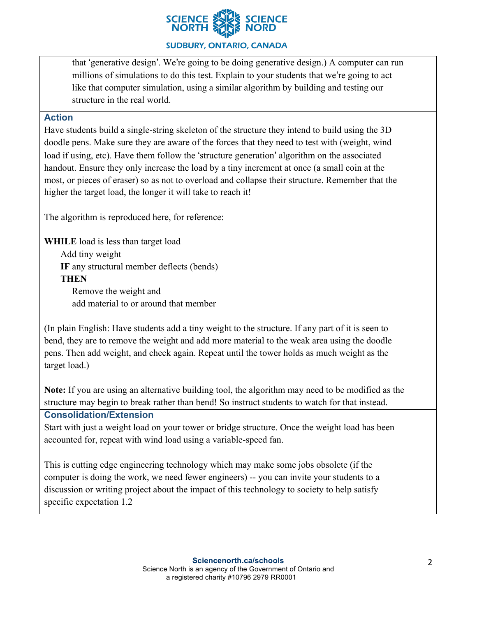

## **SUDBURY, ONTARIO, CANADA**

that 'generative design'. We're going to be doing generative design.) A computer can run millions of simulations to do this test. Explain to your students that we're going to act like that computer simulation, using a similar algorithm by building and testing our structure in the real world.

## **Action**

Have students build a single-string skeleton of the structure they intend to build using the 3D doodle pens. Make sure they are aware of the forces that they need to test with (weight, wind load if using, etc). Have them follow the 'structure generation' algorithm on the associated handout. Ensure they only increase the load by a tiny increment at once (a small coin at the most, or pieces of eraser) so as not to overload and collapse their structure. Remember that the higher the target load, the longer it will take to reach it!

The algorithm is reproduced here, for reference:

**WHILE** load is less than target load Add tiny weight **IF** any structural member deflects (bends) **THEN** Remove the weight and add material to or around that member

(In plain English: Have students add a tiny weight to the structure. If any part of it is seen to bend, they are to remove the weight and add more material to the weak area using the doodle pens. Then add weight, and check again. Repeat until the tower holds as much weight as the target load.)

**Note:** If you are using an alternative building tool, the algorithm may need to be modified as the structure may begin to break rather than bend! So instruct students to watch for that instead.

## **Consolidation/Extension**

Start with just a weight load on your tower or bridge structure. Once the weight load has been accounted for, repeat with wind load using a variable-speed fan.

This is cutting edge engineering technology which may make some jobs obsolete (if the computer is doing the work, we need fewer engineers) -- you can invite your students to a discussion or writing project about the impact of this technology to society to help satisfy specific expectation 1.2